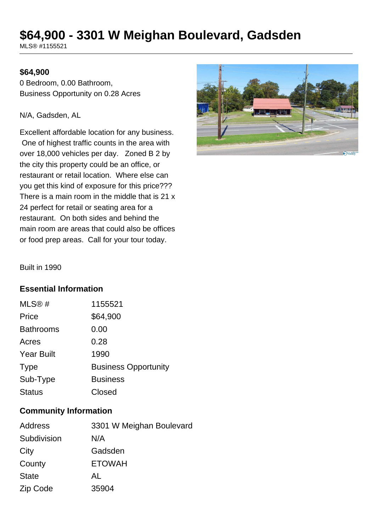# **\$64,900 - 3301 W Meighan Boulevard, Gadsden**

MLS® #1155521

### **\$64,900**

0 Bedroom, 0.00 Bathroom, Business Opportunity on 0.28 Acres

#### N/A, Gadsden, AL

Excellent affordable location for any business. One of highest traffic counts in the area with over 18,000 vehicles per day. Zoned B 2 by the city this property could be an office, or restaurant or retail location. Where else can you get this kind of exposure for this price??? There is a main room in the middle that is 21 x 24 perfect for retail or seating area for a restaurant. On both sides and behind the main room are areas that could also be offices or food prep areas. Call for your tour today.



Built in 1990

## **Essential Information**

| MLS@#             | 1155521                     |
|-------------------|-----------------------------|
| Price             | \$64,900                    |
| <b>Bathrooms</b>  | 0.00                        |
| Acres             | 0.28                        |
| <b>Year Built</b> | 1990                        |
| <b>Type</b>       | <b>Business Opportunity</b> |
| Sub-Type          | <b>Business</b>             |
| <b>Status</b>     | Closed                      |

### **Community Information**

| Address      | 3301 W Meighan Boulevard |
|--------------|--------------------------|
| Subdivision  | N/A                      |
| City         | Gadsden                  |
| County       | <b>ETOWAH</b>            |
| <b>State</b> | AL                       |
| Zip Code     | 35904                    |